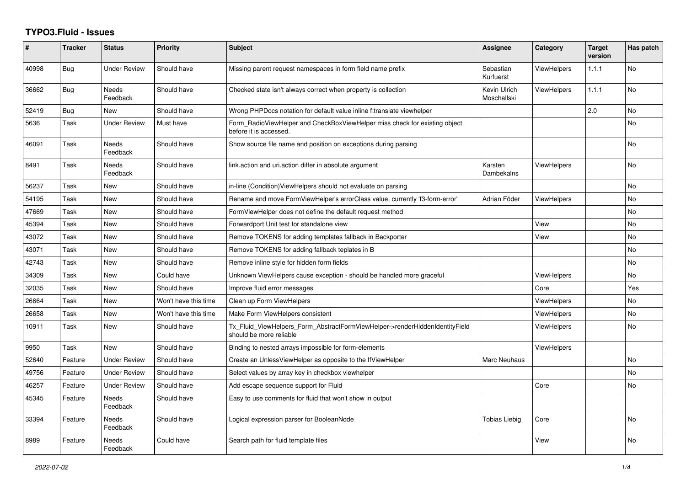## **TYPO3.Fluid - Issues**

| ∦     | <b>Tracker</b> | <b>Status</b>            | Priority             | <b>Subject</b>                                                                                         | <b>Assignee</b>             | Category           | <b>Target</b><br>version | Has patch |
|-------|----------------|--------------------------|----------------------|--------------------------------------------------------------------------------------------------------|-----------------------------|--------------------|--------------------------|-----------|
| 40998 | Bug            | Under Review             | Should have          | Missing parent request namespaces in form field name prefix                                            | Sebastian<br>Kurfuerst      | <b>ViewHelpers</b> | 1.1.1                    | No        |
| 36662 | Bug            | <b>Needs</b><br>Feedback | Should have          | Checked state isn't always correct when property is collection                                         | Kevin Ulrich<br>Moschallski | <b>ViewHelpers</b> | 1.1.1                    | No        |
| 52419 | Bug            | New                      | Should have          | Wrong PHPDocs notation for default value inline f:translate viewhelper                                 |                             |                    | 2.0                      | No.       |
| 5636  | Task           | <b>Under Review</b>      | Must have            | Form_RadioViewHelper and CheckBoxViewHelper miss check for existing object<br>before it is accessed.   |                             |                    |                          | <b>No</b> |
| 46091 | Task           | Needs<br>Feedback        | Should have          | Show source file name and position on exceptions during parsing                                        |                             |                    |                          | No        |
| 8491  | Task           | <b>Needs</b><br>Feedback | Should have          | link.action and uri.action differ in absolute argument                                                 | Karsten<br>Dambekalns       | <b>ViewHelpers</b> |                          | No        |
| 56237 | Task           | New                      | Should have          | in-line (Condition)ViewHelpers should not evaluate on parsing                                          |                             |                    |                          | No.       |
| 54195 | Task           | New                      | Should have          | Rename and move FormViewHelper's errorClass value, currently 'f3-form-error'                           | Adrian Föder                | <b>ViewHelpers</b> |                          | No        |
| 47669 | Task           | <b>New</b>               | Should have          | FormViewHelper does not define the default request method                                              |                             |                    |                          | No        |
| 45394 | Task           | New                      | Should have          | Forwardport Unit test for standalone view                                                              |                             | View               |                          | <b>No</b> |
| 43072 | Task           | New                      | Should have          | Remove TOKENS for adding templates fallback in Backporter                                              |                             | View               |                          | No        |
| 43071 | Task           | New                      | Should have          | Remove TOKENS for adding fallback teplates in B                                                        |                             |                    |                          | No        |
| 42743 | Task           | New                      | Should have          | Remove inline style for hidden form fields                                                             |                             |                    |                          | No        |
| 34309 | Task           | New                      | Could have           | Unknown ViewHelpers cause exception - should be handled more graceful                                  |                             | <b>ViewHelpers</b> |                          | <b>No</b> |
| 32035 | Task           | New                      | Should have          | Improve fluid error messages                                                                           |                             | Core               |                          | Yes       |
| 26664 | Task           | New                      | Won't have this time | Clean up Form ViewHelpers                                                                              |                             | <b>ViewHelpers</b> |                          | <b>No</b> |
| 26658 | Task           | New                      | Won't have this time | Make Form ViewHelpers consistent                                                                       |                             | <b>ViewHelpers</b> |                          | No        |
| 10911 | Task           | New                      | Should have          | Tx_Fluid_ViewHelpers_Form_AbstractFormViewHelper->renderHiddenIdentityField<br>should be more reliable |                             | <b>ViewHelpers</b> |                          | <b>No</b> |
| 9950  | Task           | New                      | Should have          | Binding to nested arrays impossible for form-elements                                                  |                             | <b>ViewHelpers</b> |                          |           |
| 52640 | Feature        | <b>Under Review</b>      | Should have          | Create an UnlessViewHelper as opposite to the IfViewHelper                                             | <b>Marc Neuhaus</b>         |                    |                          | <b>No</b> |
| 49756 | Feature        | <b>Under Review</b>      | Should have          | Select values by array key in checkbox viewhelper                                                      |                             |                    |                          | No        |
| 46257 | Feature        | <b>Under Review</b>      | Should have          | Add escape sequence support for Fluid                                                                  |                             | Core               |                          | <b>No</b> |
| 45345 | Feature        | <b>Needs</b><br>Feedback | Should have          | Easy to use comments for fluid that won't show in output                                               |                             |                    |                          |           |
| 33394 | Feature        | <b>Needs</b><br>Feedback | Should have          | Logical expression parser for BooleanNode                                                              | <b>Tobias Liebig</b>        | Core               |                          | <b>No</b> |
| 8989  | Feature        | Needs<br>Feedback        | Could have           | Search path for fluid template files                                                                   |                             | View               |                          | <b>No</b> |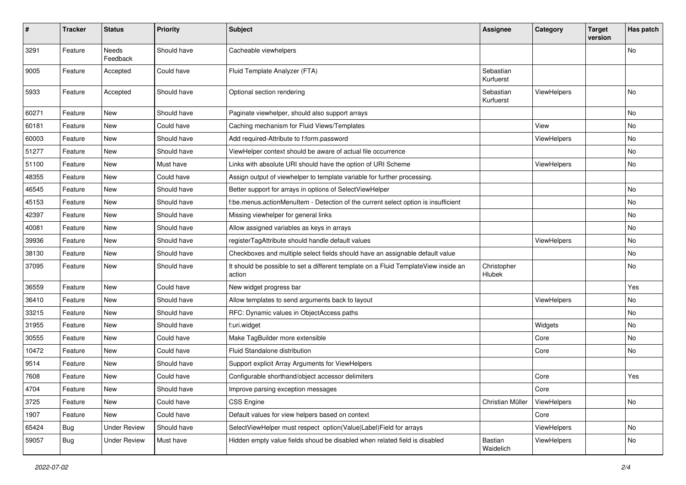| $\#$  | <b>Tracker</b> | <b>Status</b>            | <b>Priority</b> | <b>Subject</b>                                                                                | <b>Assignee</b>        | Category    | <b>Target</b><br>version | Has patch |
|-------|----------------|--------------------------|-----------------|-----------------------------------------------------------------------------------------------|------------------------|-------------|--------------------------|-----------|
| 3291  | Feature        | <b>Needs</b><br>Feedback | Should have     | Cacheable viewhelpers                                                                         |                        |             |                          | <b>No</b> |
| 9005  | Feature        | Accepted                 | Could have      | Fluid Template Analyzer (FTA)                                                                 | Sebastian<br>Kurfuerst |             |                          |           |
| 5933  | Feature        | Accepted                 | Should have     | Optional section rendering                                                                    | Sebastian<br>Kurfuerst | ViewHelpers |                          | <b>No</b> |
| 60271 | Feature        | New                      | Should have     | Paginate viewhelper, should also support arrays                                               |                        |             |                          | No        |
| 60181 | Feature        | New                      | Could have      | Caching mechanism for Fluid Views/Templates                                                   |                        | View        |                          | No        |
| 60003 | Feature        | New                      | Should have     | Add required-Attribute to f:form.password                                                     |                        | ViewHelpers |                          | No        |
| 51277 | Feature        | New                      | Should have     | ViewHelper context should be aware of actual file occurrence                                  |                        |             |                          | No        |
| 51100 | Feature        | New                      | Must have       | Links with absolute URI should have the option of URI Scheme                                  |                        | ViewHelpers |                          | No        |
| 48355 | Feature        | New                      | Could have      | Assign output of viewhelper to template variable for further processing.                      |                        |             |                          |           |
| 46545 | Feature        | New                      | Should have     | Better support for arrays in options of SelectViewHelper                                      |                        |             |                          | No        |
| 45153 | Feature        | New                      | Should have     | f:be.menus.actionMenuItem - Detection of the current select option is insufficient            |                        |             |                          | No        |
| 42397 | Feature        | New                      | Should have     | Missing viewhelper for general links                                                          |                        |             |                          | No        |
| 40081 | Feature        | New                      | Should have     | Allow assigned variables as keys in arrays                                                    |                        |             |                          | No        |
| 39936 | Feature        | New                      | Should have     | registerTagAttribute should handle default values                                             |                        | ViewHelpers |                          | No        |
| 38130 | Feature        | New                      | Should have     | Checkboxes and multiple select fields should have an assignable default value                 |                        |             |                          | No        |
| 37095 | Feature        | New                      | Should have     | It should be possible to set a different template on a Fluid TemplateView inside an<br>action | Christopher<br>Hlubek  |             |                          | No        |
| 36559 | Feature        | New                      | Could have      | New widget progress bar                                                                       |                        |             |                          | Yes       |
| 36410 | Feature        | New                      | Should have     | Allow templates to send arguments back to layout                                              |                        | ViewHelpers |                          | No        |
| 33215 | Feature        | New                      | Should have     | RFC: Dynamic values in ObjectAccess paths                                                     |                        |             |                          | No        |
| 31955 | Feature        | New                      | Should have     | f:uri.widget                                                                                  |                        | Widgets     |                          | No        |
| 30555 | Feature        | New                      | Could have      | Make TagBuilder more extensible                                                               |                        | Core        |                          | No        |
| 10472 | Feature        | New                      | Could have      | Fluid Standalone distribution                                                                 |                        | Core        |                          | No        |
| 9514  | Feature        | New                      | Should have     | Support explicit Array Arguments for ViewHelpers                                              |                        |             |                          |           |
| 7608  | Feature        | New                      | Could have      | Configurable shorthand/object accessor delimiters                                             |                        | Core        |                          | Yes       |
| 4704  | Feature        | New                      | Should have     | Improve parsing exception messages                                                            |                        | Core        |                          |           |
| 3725  | Feature        | New                      | Could have      | CSS Engine                                                                                    | Christian Müller       | ViewHelpers |                          | No        |
| 1907  | Feature        | New                      | Could have      | Default values for view helpers based on context                                              |                        | Core        |                          |           |
| 65424 | Bug            | <b>Under Review</b>      | Should have     | SelectViewHelper must respect option(Value Label)Field for arrays                             |                        | ViewHelpers |                          | No        |
| 59057 | Bug            | <b>Under Review</b>      | Must have       | Hidden empty value fields shoud be disabled when related field is disabled                    | Bastian<br>Waidelich   | ViewHelpers |                          | No        |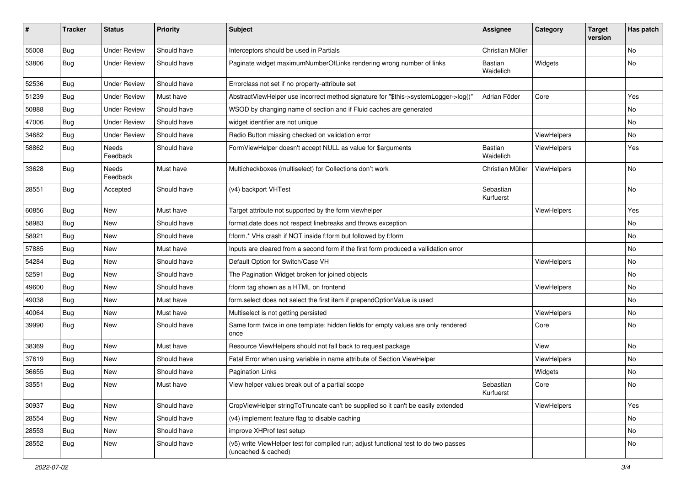| #     | <b>Tracker</b> | <b>Status</b>       | <b>Priority</b> | <b>Subject</b>                                                                                              | <b>Assignee</b>             | Category    | <b>Target</b><br>version | Has patch |
|-------|----------------|---------------------|-----------------|-------------------------------------------------------------------------------------------------------------|-----------------------------|-------------|--------------------------|-----------|
| 55008 | Bug            | <b>Under Review</b> | Should have     | Interceptors should be used in Partials                                                                     | Christian Müller            |             |                          | <b>No</b> |
| 53806 | Bug            | Under Review        | Should have     | Paginate widget maximumNumberOfLinks rendering wrong number of links                                        | Bastian<br>Waidelich        | Widgets     |                          | No        |
| 52536 | Bug            | <b>Under Review</b> | Should have     | Errorclass not set if no property-attribute set                                                             |                             |             |                          |           |
| 51239 | Bug            | <b>Under Review</b> | Must have       | AbstractViewHelper use incorrect method signature for "\$this->systemLogger->log()"                         | Adrian Föder                | Core        |                          | Yes       |
| 50888 | Bug            | <b>Under Review</b> | Should have     | WSOD by changing name of section and if Fluid caches are generated                                          |                             |             |                          | No        |
| 47006 | Bug            | <b>Under Review</b> | Should have     | widget identifier are not unique                                                                            |                             |             |                          | No        |
| 34682 | Bug            | <b>Under Review</b> | Should have     | Radio Button missing checked on validation error                                                            |                             | ViewHelpers |                          | No        |
| 58862 | Bug            | Needs<br>Feedback   | Should have     | FormViewHelper doesn't accept NULL as value for \$arguments                                                 | <b>Bastian</b><br>Waidelich | ViewHelpers |                          | Yes       |
| 33628 | Bug            | Needs<br>Feedback   | Must have       | Multicheckboxes (multiselect) for Collections don't work                                                    | Christian Müller            | ViewHelpers |                          | <b>No</b> |
| 28551 | Bug            | Accepted            | Should have     | (v4) backport VHTest                                                                                        | Sebastian<br>Kurfuerst      |             |                          | No        |
| 60856 | Bug            | New                 | Must have       | Target attribute not supported by the form viewhelper                                                       |                             | ViewHelpers |                          | Yes       |
| 58983 | Bug            | New                 | Should have     | format.date does not respect linebreaks and throws exception                                                |                             |             |                          | No        |
| 58921 | Bug            | New                 | Should have     | f:form.* VHs crash if NOT inside f:form but followed by f:form                                              |                             |             |                          | No        |
| 57885 | Bug            | New                 | Must have       | Inputs are cleared from a second form if the first form produced a vallidation error                        |                             |             |                          | No        |
| 54284 | Bug            | New                 | Should have     | Default Option for Switch/Case VH                                                                           |                             | ViewHelpers |                          | No        |
| 52591 | Bug            | New                 | Should have     | The Pagination Widget broken for joined objects                                                             |                             |             |                          | No        |
| 49600 | Bug            | New                 | Should have     | f:form tag shown as a HTML on frontend                                                                      |                             | ViewHelpers |                          | No        |
| 49038 | Bug            | New                 | Must have       | form.select does not select the first item if prependOptionValue is used                                    |                             |             |                          | <b>No</b> |
| 40064 | Bug            | New                 | Must have       | Multiselect is not getting persisted                                                                        |                             | ViewHelpers |                          | No        |
| 39990 | Bug            | New                 | Should have     | Same form twice in one template: hidden fields for empty values are only rendered<br>once                   |                             | Core        |                          | No        |
| 38369 | Bug            | New                 | Must have       | Resource ViewHelpers should not fall back to request package                                                |                             | View        |                          | No        |
| 37619 | Bug            | New                 | Should have     | Fatal Error when using variable in name attribute of Section ViewHelper                                     |                             | ViewHelpers |                          | No        |
| 36655 | Bug            | New                 | Should have     | <b>Pagination Links</b>                                                                                     |                             | Widgets     |                          | No        |
| 33551 | <b>Bug</b>     | New                 | Must have       | View helper values break out of a partial scope                                                             | Sebastian<br>Kurfuerst      | Core        |                          | No        |
| 30937 | <b>Bug</b>     | New                 | Should have     | CropViewHelper stringToTruncate can't be supplied so it can't be easily extended                            |                             | ViewHelpers |                          | Yes       |
| 28554 | <b>Bug</b>     | New                 | Should have     | (v4) implement feature flag to disable caching                                                              |                             |             |                          | No        |
| 28553 | <b>Bug</b>     | New                 | Should have     | improve XHProf test setup                                                                                   |                             |             |                          | No        |
| 28552 | <b>Bug</b>     | New                 | Should have     | (v5) write ViewHelper test for compiled run; adjust functional test to do two passes<br>(uncached & cached) |                             |             |                          | No        |